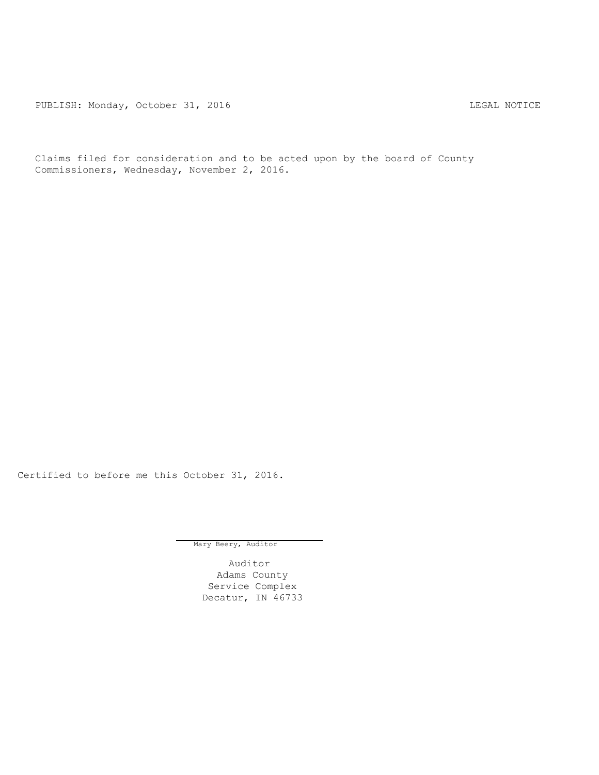PUBLISH: Monday, October 31, 2016 CHA CHANGE CONSTRUCTED AND THE LEGAL NOTICE

Claims filed for consideration and to be acted upon by the board of County Commissioners, Wednesday, November 2, 2016.

Certified to before me this October 31, 2016.

Mary Beery, Auditor

Auditor Adams County Service Complex Decatur, IN 46733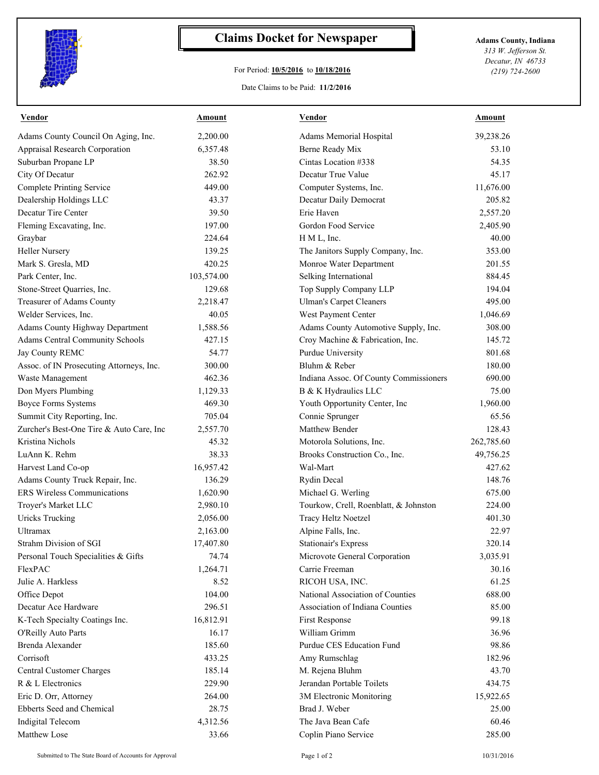

## **Claims Docket for Newspaper Adams County, Indiana**

## For Period: **10/5/2016** to **10/18/2016**

*313 W. Jefferson St. Decatur, IN 46733 (219) 724-2600*

## Date Claims to be Paid: **11/2/2016**

| <b>Vendor</b>                            | Amount     | Vendor                                 | Amount     |
|------------------------------------------|------------|----------------------------------------|------------|
| Adams County Council On Aging, Inc.      | 2,200.00   | Adams Memorial Hospital                | 39,238.26  |
| Appraisal Research Corporation           | 6,357.48   | Berne Ready Mix                        | 53.10      |
| Suburban Propane LP                      | 38.50      | Cintas Location #338                   | 54.35      |
| City Of Decatur                          | 262.92     | Decatur True Value                     | 45.17      |
| <b>Complete Printing Service</b>         | 449.00     | Computer Systems, Inc.                 | 11,676.00  |
| Dealership Holdings LLC                  | 43.37      | Decatur Daily Democrat                 | 205.82     |
| Decatur Tire Center                      | 39.50      | Erie Haven                             | 2,557.20   |
| Fleming Excavating, Inc.                 | 197.00     | Gordon Food Service                    | 2,405.90   |
| Graybar                                  | 224.64     | H M L, Inc.                            | 40.00      |
| <b>Heller Nursery</b>                    | 139.25     | The Janitors Supply Company, Inc.      | 353.00     |
| Mark S. Gresla, MD                       | 420.25     | Monroe Water Department                | 201.55     |
| Park Center, Inc.                        | 103,574.00 | Selking International                  | 884.45     |
| Stone-Street Quarries, Inc.              | 129.68     | Top Supply Company LLP                 | 194.04     |
| Treasurer of Adams County                | 2,218.47   | <b>Ulman's Carpet Cleaners</b>         | 495.00     |
| Welder Services, Inc.                    | 40.05      | West Payment Center                    | 1,046.69   |
| Adams County Highway Department          | 1,588.56   | Adams County Automotive Supply, Inc.   | 308.00     |
| Adams Central Community Schools          | 427.15     | Croy Machine & Fabrication, Inc.       | 145.72     |
| Jay County REMC                          | 54.77      | Purdue University                      | 801.68     |
| Assoc. of IN Prosecuting Attorneys, Inc. | 300.00     | Bluhm & Reber                          | 180.00     |
| Waste Management                         | 462.36     | Indiana Assoc. Of County Commissioners | 690.00     |
| Don Myers Plumbing                       | 1,129.33   | B & K Hydraulics LLC                   | 75.00      |
| <b>Boyce Forms Systems</b>               | 469.30     | Youth Opportunity Center, Inc          | 1,960.00   |
| Summit City Reporting, Inc.              | 705.04     | Connie Sprunger                        | 65.56      |
| Zurcher's Best-One Tire & Auto Care, Inc | 2,557.70   | Matthew Bender                         | 128.43     |
| Kristina Nichols                         | 45.32      | Motorola Solutions, Inc.               | 262,785.60 |
| LuAnn K. Rehm                            | 38.33      | Brooks Construction Co., Inc.          | 49,756.25  |
| Harvest Land Co-op                       | 16,957.42  | Wal-Mart                               | 427.62     |
| Adams County Truck Repair, Inc.          | 136.29     | Rydin Decal                            | 148.76     |
| <b>ERS</b> Wireless Communications       | 1,620.90   | Michael G. Werling                     | 675.00     |
| Troyer's Market LLC                      | 2,980.10   | Tourkow, Crell, Roenblatt, & Johnston  | 224.00     |
| <b>Uricks Trucking</b>                   | 2,056.00   | Tracy Heltz Noetzel                    | 401.30     |
| Ultramax                                 | 2,163.00   | Alpine Falls, Inc.                     | 22.97      |
| Strahm Division of SGI                   | 17,407.80  | <b>Stationair's Express</b>            | 320.14     |
| Personal Touch Specialities & Gifts      | 74.74      | Microvote General Corporation          | 3,035.91   |
| FlexPAC                                  | 1,264.71   | Carrie Freeman                         | 30.16      |
| Julie A. Harkless                        | 8.52       | RICOH USA, INC.                        | 61.25      |
| Office Depot                             | 104.00     | National Association of Counties       | 688.00     |
| Decatur Ace Hardware                     | 296.51     | Association of Indiana Counties        | 85.00      |
| K-Tech Specialty Coatings Inc.           | 16,812.91  | First Response                         | 99.18      |
| O'Reilly Auto Parts                      | 16.17      | William Grimm                          | 36.96      |
| Brenda Alexander                         | 185.60     | Purdue CES Education Fund              | 98.86      |
| Corrisoft                                | 433.25     | Amy Rumschlag                          | 182.96     |
| Central Customer Charges                 | 185.14     | M. Rejena Bluhm                        | 43.70      |
| R & L Electronics                        | 229.90     | Jerandan Portable Toilets              | 434.75     |
| Eric D. Orr, Attorney                    | 264.00     | 3M Electronic Monitoring               | 15,922.65  |
| Ebberts Seed and Chemical                | 28.75      | Brad J. Weber                          | 25.00      |
| Indigital Telecom                        | 4,312.56   | The Java Bean Cafe                     | 60.46      |
| Matthew Lose                             | 33.66      | Coplin Piano Service                   | 285.00     |